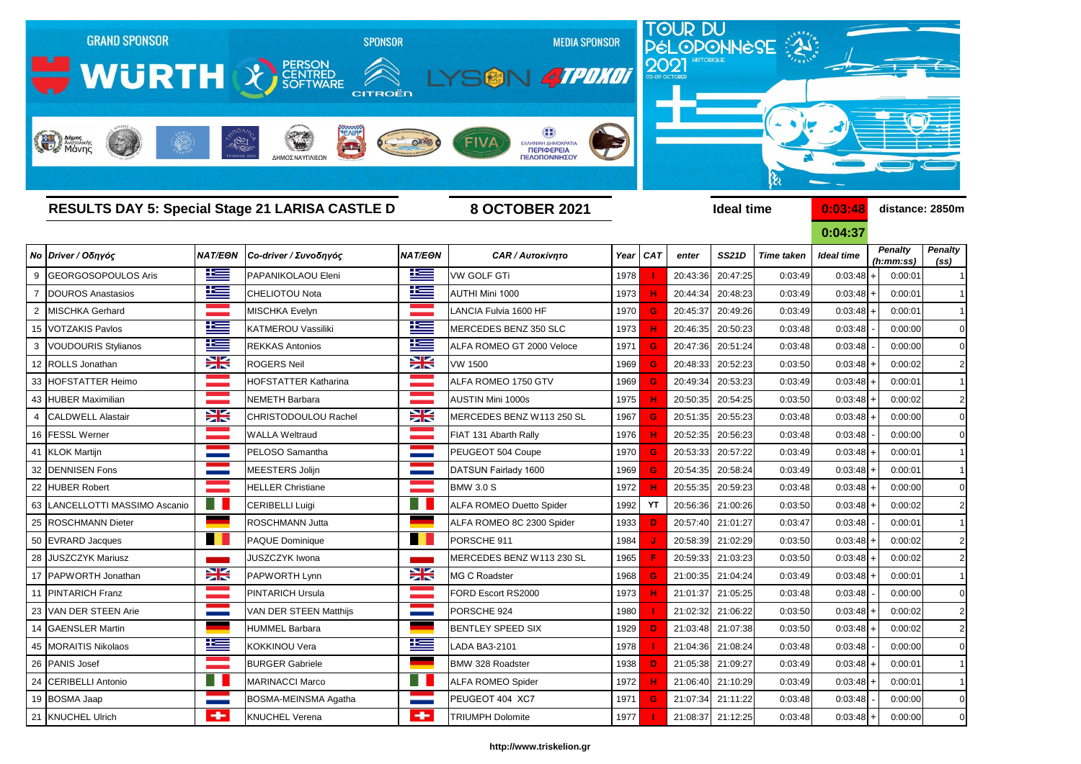

|              |                                  |                |                             |                                                                                                                |                                 |      |            |          |                   |                   | <u>v.v4.j7</u>    |                             |                                     |
|--------------|----------------------------------|----------------|-----------------------------|----------------------------------------------------------------------------------------------------------------|---------------------------------|------|------------|----------|-------------------|-------------------|-------------------|-----------------------------|-------------------------------------|
|              | Νο Driver / Οδηγός               | <b>NAT/EON</b> | Co-driver / Συνοδηγός       | <b>NAT/EON</b>                                                                                                 | <b>CAR / Αυτοκίνητο</b>         | Year | <b>CAT</b> | enter    | <b>SS21D</b>      | <b>Time taken</b> | <b>Ideal time</b> | <b>Penalty</b><br>(h:mm:ss) | <b>Penalty</b><br>(s <sub>s</sub> ) |
| 9            | <b>GEORGOSOPOULOS Aris</b>       | <u>is –</u>    | PAPANIKOLAOU Eleni          | <u>is –</u>                                                                                                    | <b>VW GOLF GTi</b>              | 1978 |            | 20:43:36 | 20:47:25          | 0:03:49           | $0:03:48$ +       | 0:00:01                     |                                     |
|              | <b>IDOUROS Anastasios</b>        | 坚              | <b>CHELIOTOU Nota</b>       | <u>is </u>                                                                                                     | AUTHI Mini 1000                 | 1973 | н          | 20:44:34 | 20:48:23          | 0:03:49           | $0:03:48$ +       | 0:00:01                     |                                     |
|              | 2 MISCHKA Gerhard                |                | MISCHKA Evelyn              | a kacamatan ing Kabupatèn Kabupatèn Kabupatèn Kabupatèn Kabupatèn Kabupatèn Kabupatèn Kabupatèn Kabupatèn Kabu | LANCIA Fulvia 1600 HF           | 1970 | G          | 20:45:37 | 20:49:26          | 0:03:49           | $0:03:48$ +       | 0:00:01                     |                                     |
|              | 15 VOTZAKIS Pavlos               | <u>is –</u>    | <b>KATMEROU Vassiliki</b>   | <u>is –</u>                                                                                                    | <b>MERCEDES BENZ 350 SLC</b>    | 1973 | н          | 20:46:35 | 20:50:23          | 0:03:48           | 0:03:48           | 0:00:00                     |                                     |
| $\mathbf{3}$ | <b>VOUDOURIS Stylianos</b>       | <u>is s</u>    | <b>REKKAS Antonios</b>      | ٢                                                                                                              | ALFA ROMEO GT 2000 Veloce       | 1971 | G          | 20:47:36 | 20:51:24          | 0:03:48           | 0:03:48           | 0:00:00                     |                                     |
|              | 12 ROLLS Jonathan                | X              | <b>ROGERS Neil</b>          | $\frac{1}{2}$                                                                                                  | <b>VW 1500</b>                  | 1969 | G          | 20:48:33 | 20:52:23          | 0:03:50           | $0:03:48$ +       | 0:00:02                     | 2                                   |
|              | 33 HOFSTATTER Heimo              |                | <b>HOFSTATTER Katharina</b> |                                                                                                                | ALFA ROMEO 1750 GTV             | 1969 | G          | 20:49:34 | 20:53:23          | 0:03:49           | $0:03:48$ +       | 0:00:01                     |                                     |
|              | 43 HUBER Maximilian              |                | NEMETH Barbara              |                                                                                                                | <b>AUSTIN Mini 1000s</b>        | 1975 | н          | 20:50:35 | 20:54:25          | 0:03:50           | $0:03:48$ +       | 0:00:02                     | 2                                   |
|              | <b>CALDWELL Alastair</b>         | X              | CHRISTODOULOU Rachel        | X                                                                                                              | MERCEDES BENZ W113 250 SL       | 1967 | G          | 20:51:35 | 20:55:23          | 0:03:48           | $0:03:48$ +       | 0:00:00                     |                                     |
|              | 16 FESSL Werner                  |                | <b>WALLA Weltraud</b>       | a a shekara                                                                                                    | FIAT 131 Abarth Rally           | 1976 | н          | 20:52:35 | 20:56:23          | 0:03:48           | 0:03:48           | 0:00:00                     |                                     |
|              | 41 KLOK Martijn                  |                | PELOSO Samantha             | <b>Contract</b>                                                                                                | PEUGEOT 504 Coupe               | 1970 | G          | 20:53:33 | 20:57:22          | 0:03:49           | $0:03:48$ +       | 0:00:01                     |                                     |
|              | 32 DENNISEN Fons                 |                | MEESTERS Jolijn             |                                                                                                                | DATSUN Fairlady 1600            | 1969 | G          | 20:54:35 | 20:58:24          | 0:03:49           | $0:03:48$ +       | 0:00:01                     |                                     |
|              | 22 HUBER Robert                  |                | <b>HELLER Christiane</b>    |                                                                                                                | <b>BMW 3.0 S</b>                | 1972 |            | 20:55:35 | 20:59:23          | 0:03:48           | $0:03:48$ +       | 0:00:00                     |                                     |
|              | 63   LANCELLOTTI MASSIMO Ascanio |                | CERIBELLI Luigi             | HI                                                                                                             | <b>ALFA ROMEO Duetto Spider</b> | 1992 | <b>YT</b>  | 20:56:36 | 21:00:26          | 0:03:50           | $0:03:48$ +       | 0:00:02                     |                                     |
|              | 25 ROSCHMANN Dieter              |                | ROSCHMANN Jutta             |                                                                                                                | ALFA ROMEO 8C 2300 Spider       | 1933 | D          | 20:57:40 | 21:01:27          | 0:03:47           | 0:03:48           | 0:00:01                     |                                     |
|              | 50 EVRARD Jacques                |                | <b>PAQUE Dominique</b>      |                                                                                                                | PORSCHE 911                     | 1984 |            | 20:58:39 | 21:02:29          | 0:03:50           | $0:03:48$ +       | 0:00:02                     | 2                                   |
|              | 28 JUSZCZYK Mariusz              |                | <b>JUSZCZYK Iwona</b>       |                                                                                                                | MERCEDES BENZ W113 230 SL       | 1965 |            | 20:59:33 | 21:03:23          | 0:03:50           | $0:03:48$ +       | 0:00:02                     |                                     |
|              | 17   PAPWORTH Jonathan           | X              | PAPWORTH Lynn               | X                                                                                                              | <b>MG C Roadster</b>            | 1968 | G          | 21:00:35 | 21:04:24          | 0:03:49           | $0:03:48$ +       | 0:00:01                     |                                     |
|              | 11 PINTARICH Franz               |                | <b>PINTARICH Ursula</b>     |                                                                                                                | FORD Escort RS2000              | 1973 |            | 21:01:37 | 21:05:25          | 0:03:48           | 0:03:48           | 0:00:00                     |                                     |
|              | 23 VAN DER STEEN Arie            |                | VAN DER STEEN Matthijs      |                                                                                                                | PORSCHE 924                     | 1980 |            | 21:02:32 | 21:06:22          | 0:03:50           | $0:03:48$ +       | 0:00:02                     |                                     |
|              | 14 GAENSLER Martin               |                | <b>HUMMEL Barbara</b>       |                                                                                                                | <b>BENTLEY SPEED SIX</b>        | 1929 | D          | 21:03:48 | 21:07:38          | 0:03:50           | $0:03:48$ +       | 0:00:02                     |                                     |
|              | 45 MORAITIS Nikolaos             | <u>iks </u>    | <b>KOKKINOU Vera</b>        | <u>ika </u>                                                                                                    | LADA BA3-2101                   | 1978 |            |          | 21:04:36 21:08:24 | 0:03:48           | $0:03:48$ -       | 0:00:00                     | C                                   |
|              | 26 PANIS Josef                   |                | <b>BURGER Gabriele</b>      |                                                                                                                | BMW 328 Roadster                | 1938 | D          |          | 21:05:38 21:09:27 | 0:03:49           | $0:03:48$ +       | 0:00:01                     |                                     |
|              | 24 CERIBELLI Antonio             |                | <b>MARINACCI Marco</b>      | M.                                                                                                             | <b>ALFA ROMEO Spider</b>        | 1972 | н          |          | 21:06:40 21:10:29 | 0:03:49           | $0:03:48$ +       | 0:00:01                     | -1                                  |
|              | 19 BOSMA Jaap                    |                | BOSMA-MEINSMA Agatha        |                                                                                                                | PEUGEOT 404 XC7                 | 1971 | G          |          | 21:07:34 21:11:22 | 0:03:48           | 0:03:48           | 0:00:00                     | C                                   |
|              | 21 KNUCHEL Ulrich                | ÷              | KNUCHEL Verena              | ÷                                                                                                              | <b>TRIUMPH Dolomite</b>         | 1977 |            |          | 21:08:37 21:12:25 | 0:03:48           | $0:03:48$ +       | 0:00:00                     | $\mathsf{C}$                        |

**0:04:37** *Penalty (ss) Penalty (h:mm:ss)*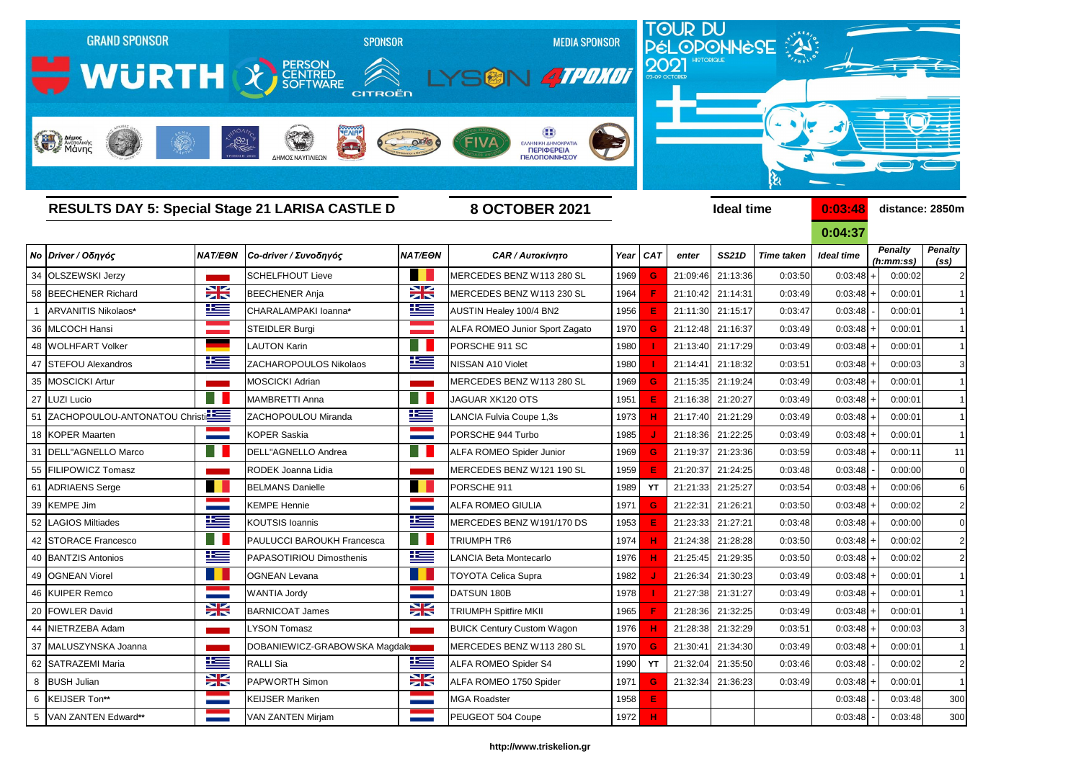

**0:04:37** *Penalty (ss) Penalty (h:mm:ss)*

|    |                                  |                |                               |                |                                   |      |            |          |                   |                   | 0.VT.VI           |                             |                                     |
|----|----------------------------------|----------------|-------------------------------|----------------|-----------------------------------|------|------------|----------|-------------------|-------------------|-------------------|-----------------------------|-------------------------------------|
|    | Νο Driver / Οδηγός               | <b>NAT/EON</b> | Co-driver / Συνοδηγός         | <b>NAT/EON</b> | <b>CAR / Αυτοκίνητο</b>           | Year | <b>CAT</b> | enter    | <b>SS21D</b>      | <b>Time taken</b> | <b>Ideal time</b> | <b>Penalty</b><br>(h:mm:ss) | <b>Penalty</b><br>(s <sub>s</sub> ) |
|    | 34 OLSZEWSKI Jerzy               |                | <b>SCHELFHOUT Lieve</b>       | . .            | MERCEDES BENZ W113 280 SL         | 1969 | G          | 21:09:46 | 21:13:36          | 0:03:50           | $0:03:48$ +       | 0:00:02                     | 2                                   |
|    | 58 BEECHENER Richard             | X              | <b>BEECHENER Anja</b>         | X              | MERCEDES BENZ W113 230 SL         | 1964 |            | 21:10:42 | 21:14:31          | 0:03:49           | $0:03:48$ +       | 0:00:01                     |                                     |
|    | ARVANITIS Nikolaos*              | 坚              | CHARALAMPAKI Ioanna*          | <u>resp</u>    | AUSTIN Healey 100/4 BN2           | 1956 |            | 21:11:30 | 21:15:17          | 0:03:47           | 0:03:48           | 0:00:01                     |                                     |
|    | 36 MLCOCH Hansi                  |                | <b>STEIDLER Burgi</b>         |                | ALFA ROMEO Junior Sport Zagato    | 1970 | G          | 21:12:48 | 21:16:37          | 0:03:49           | $0:03:48$ +       | 0:00:01                     |                                     |
|    | 48 WOLHFART Volker               |                | <b>LAUTON Karin</b>           | TI.            | PORSCHE 911 SC                    | 1980 |            | 21:13:40 | 21:17:29          | 0:03:49           | $0:03:48$ +       | 0:00:01                     |                                     |
|    | 47 STEFOU Alexandros             | <u>iks </u>    | ZACHAROPOULOS Nikolaos        | 些              | NISSAN A10 Violet                 | 1980 |            | 21:14:41 | 21:18:32          | 0:03:51           | $0:03:48$ +       | 0:00:03                     |                                     |
|    | 35   MOSCICKI Artur              |                | MOSCICKI Adrian               |                | MERCEDES BENZ W113 280 SL         | 1969 | G          | 21:15:35 | 21:19:24          | 0:03:49           | $0:03:48$ +       | 0:00:01                     |                                     |
|    | 27   LUZI Lucio                  |                | <b>MAMBRETTI Anna</b>         | - 1            | JAGUAR XK120 OTS                  | 1951 |            | 21:16:38 | 21:20:27          | 0:03:49           | $0:03:48$ +       | 0:00:01                     |                                     |
|    | 51 ZACHOPOULOU-ANTONATOU Christi |                | ZACHOPOULOU Miranda           | <u>iss</u>     | LANCIA Fulvia Coupe 1,3s          | 1973 |            | 21:17:40 | 21:21:29          | 0:03:49           | $0:03:48$ +       | 0:00:01                     |                                     |
|    | 18 KOPER Maarten                 |                | <b>KOPER Saskia</b>           |                | PORSCHE 944 Turbo                 | 1985 |            | 21:18:36 | 21:22:25          | 0:03:49           | $0:03:48$ +       | 0:00:01                     |                                     |
|    | 31   DELL"AGNELLO Marco          |                | DELL"AGNELLO Andrea           | - 8            | ALFA ROMEO Spider Junior          | 1969 | G          | 21:19:37 | 21:23:36          | 0:03:59           | $0:03:48$ +       | 0:00:11                     | 11                                  |
|    | 55 FILIPOWICZ Tomasz             |                | RODEK Joanna Lidia            |                | MERCEDES BENZ W121 190 SL         | 1959 |            | 21:20:37 | 21:24:25          | 0:03:48           | 0:03:48           | 0:00:00                     |                                     |
| 61 | <b>ADRIAENS</b> Serge            |                | <b>BELMANS Danielle</b>       | . .            | PORSCHE 911                       | 1989 | <b>YT</b>  | 21:21:33 | 21:25:27          | 0:03:54           | $0:03:48$ +       | 0:00:06                     |                                     |
|    | 39 KEMPE Jim                     |                | <b>KEMPE Hennie</b>           |                | <b>ALFA ROMEO GIULIA</b>          | 1971 | G          | 21:22:31 | 21:26:21          | 0:03:50           | $0:03:48$ +       | 0:00:02                     |                                     |
|    | 52   LAGIOS Miltiades            | <u> معاذ</u>   | <b>KOUTSIS Ioannis</b>        | <u> معاذ</u>   | MERCEDES BENZ W191/170 DS         | 1953 |            | 21:23:33 | 21:27:21          | 0:03:48           | $0:03:48$ +       | 0:00:00                     |                                     |
|    | 42 STORACE Francesco             | ш              | PAULUCCI BAROUKH Francesca    | H.             | <b>TRIUMPH TR6</b>                | 1974 |            | 21:24:38 | 21:28:28          | 0:03:50           | $0:03:48$ +       | 0:00:02                     |                                     |
|    | 40 BANTZIS Antonios              | <u>ik s</u>    | PAPASOTIRIOU Dimosthenis      | <u>ik s</u>    | LANCIA Beta Montecarlo            | 1976 |            | 21:25:45 | 21:29:35          | 0:03:50           | $0:03:48$ +       | 0:00:02                     |                                     |
|    | 49   OGNEAN Viorel               |                | <b>OGNEAN Levana</b>          |                | <b>TOYOTA Celica Supra</b>        | 1982 |            | 21:26:34 | 21:30:23          | 0:03:49           | $0:03:48$ +       | 0:00:01                     |                                     |
|    | 46 KUIPER Remco                  |                | <b>WANTIA Jordy</b>           |                | DATSUN 180B                       | 1978 |            | 21:27:38 | 21:31:27          | 0:03:49           | $0:03:48$ +       | 0:00:01                     |                                     |
|    | 20 FOWLER David                  | X              | <b>BARNICOAT James</b>        | $\frac{1}{2}$  | <b>TRIUMPH Spitfire MKII</b>      | 1965 |            | 21:28:36 | 21:32:25          | 0:03:49           | $0:03:48$ +       | 0:00:01                     |                                     |
|    | NIETRZEBA Adam                   |                | <b>YSON Tomasz</b>            |                | <b>BUICK Century Custom Wagon</b> | 1976 |            | 21:28:38 | 21:32:29          | 0:03:51           | $0:03:48$ +       | 0:00:03                     |                                     |
|    | 37 MALUSZYNSKA Joanna            |                | DOBANIEWICZ-GRABOWSKA Magdale |                | MERCEDES BENZ W113 280 SL         | 1970 | G          |          | 21:30:41 21:34:30 | 0:03:49           | $0:03:48$ +       | 0:00:01                     | -1                                  |
|    | 62 SATRAZEMI Maria               | <u>ik s</u>    | RALLI Sia                     | 上三             | ALFA ROMEO Spider S4              | 1990 | <b>YT</b>  |          | 21:32:04 21:35:50 | 0:03:46           | 0:03:48           | 0:00:02                     | 2                                   |
|    | 8 BUSH Julian                    | X              | <b>PAPWORTH Simon</b>         | $\frac{1}{2}$  | ALFA ROMEO 1750 Spider            | 1971 | G          |          | 21:32:34 21:36:23 | 0:03:49           | $0:03:48$ +       | 0:00:01                     | -1                                  |
|    | 6 KEIJSER Ton**                  |                | <b>KEIJSER Mariken</b>        |                | <b>MGA Roadster</b>               | 1958 | E          |          |                   |                   | 0:03:48           | 0:03:48                     | <b>300</b>                          |
|    | 5 VAN ZANTEN Edward**            |                | VAN ZANTEN Mirjam             |                | PEUGEOT 504 Coupe                 | 1972 | н          |          |                   |                   | $0:03:48$ -       | 0:03:48                     | <b>300</b>                          |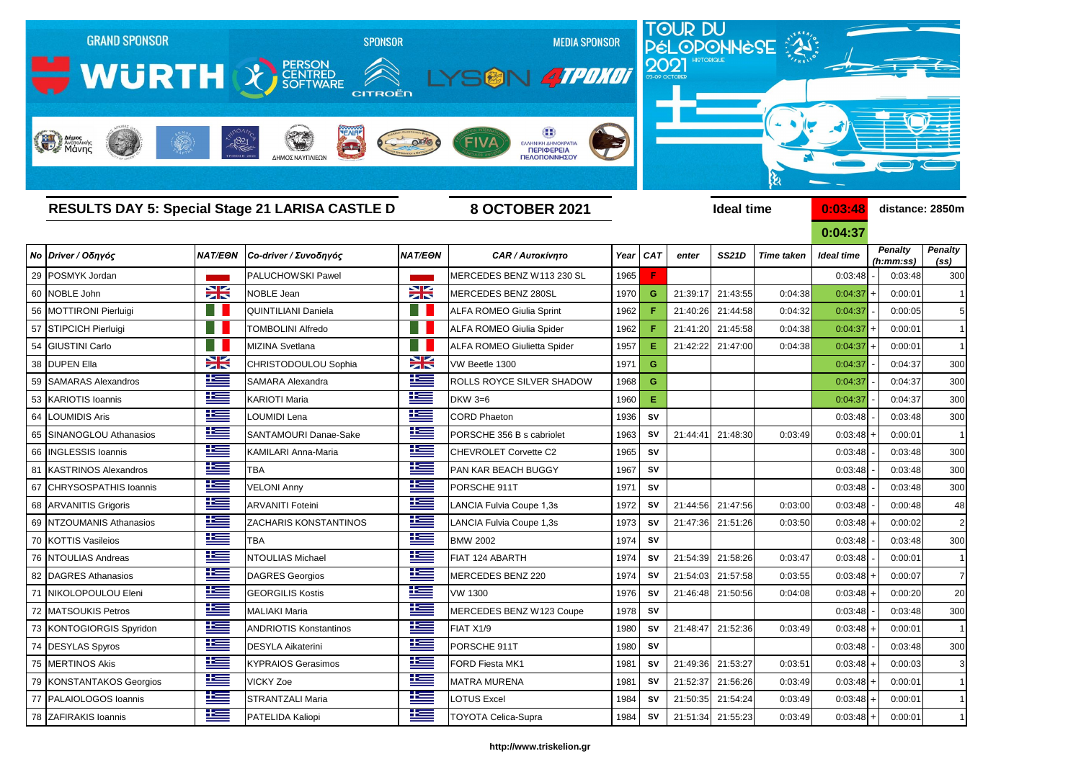

| <b>RESULTS DAY 5: Special Stage 21 LARISA CASTLE D</b> |                           |               |                                 | <b>8 OCTOBER 2021</b>     | <b>Ideal time</b>                  |      |           |          |                   | 0:03:48           | distance: 2850m   |                |                             |                                     |
|--------------------------------------------------------|---------------------------|---------------|---------------------------------|---------------------------|------------------------------------|------|-----------|----------|-------------------|-------------------|-------------------|----------------|-----------------------------|-------------------------------------|
|                                                        |                           |               |                                 |                           |                                    |      |           |          |                   |                   | 0:04:37           |                |                             |                                     |
|                                                        | Νο Driver / Οδηγός        |               | NAT/EON   Co-driver / Συνοδηγός | <b>NAT/EON</b>            | <b>CAR / Αυτοκίνητο</b>            |      | Year CAT  | enter    | <b>SS21D</b>      | <b>Time taken</b> | <b>Ideal time</b> |                | <b>Penalty</b><br>(h:mm:ss) | <b>Penalty</b><br>(s <sub>s</sub> ) |
|                                                        | 29 POSMYK Jordan          |               | <b>PALUCHOWSKI Pawel</b>        |                           | MERCEDES BENZ W113 230 SL          | 1965 |           |          |                   |                   | 0:03:48           |                | 0:03:48                     | 300                                 |
|                                                        | 60 NOBLE John             | X             | <b>NOBLE Jean</b>               | X                         | MERCEDES BENZ 280SL                | 1970 | G         | 21:39:17 | 21:43:55          | 0:04:38           | 0:04:37           | $\overline{1}$ | 0:00:01                     |                                     |
|                                                        | 56 MOTTIRONI Pierluigi    |               | <b>QUINTILIANI Daniela</b>      |                           | <b>ALFA ROMEO Giulia Sprint</b>    | 1962 |           | 21:40:26 | 21:44:58          | 0:04:32           | 0:04:37           |                | 0:00:05                     |                                     |
|                                                        | 57 STIPCICH Pierluigi     |               | <b>TOMBOLINI Alfredo</b>        |                           | <b>ALFA ROMEO Giulia Spider</b>    | 1962 |           | 21:41:20 | 21:45:58          | 0:04:38           | 0:04:37           | $\ddot{}$      | 0:00:01                     |                                     |
|                                                        | 54 GIUSTINI Carlo         |               | <b>MIZINA Svetlana</b>          |                           | <b>ALFA ROMEO Giulietta Spider</b> | 1957 | E.        | 21:42:22 | 21:47:00          | 0:04:38           | 0:04:37           | $\overline{+}$ | 0:00:01                     |                                     |
|                                                        | 38 DUPEN Ella             | X             | CHRISTODOULOU Sophia            | X                         | VW Beetle 1300                     | 1971 | G         |          |                   |                   | 0:04:37           |                | 0:04:37                     | <b>300</b>                          |
|                                                        | 59 SAMARAS Alexandros     | <u>ik s</u>   | <b>SAMARA Alexandra</b>         | 坚                         | ROLLS ROYCE SILVER SHADOW          | 1968 | G         |          |                   |                   | 0:04:37           |                | 0:04:37                     | 300                                 |
|                                                        | 53 KARIOTIS Ioannis       | 些             | <b>KARIOTI Maria</b>            | <u>is –</u>               | <b>DKW 3=6</b>                     | 1960 | E.        |          |                   |                   | 0:04:37           |                | 0:04:37                     | 30 <sub>C</sub>                     |
|                                                        | 64   LOUMIDIS Aris        | <u>is </u>    | LOUMIDI Lena                    | 坚                         | CORD Phaeton                       | 1936 | <b>SV</b> |          |                   |                   | 0:03:48           |                | 0:03:48                     | 30 <sub>C</sub>                     |
|                                                        | 65 SINANOGLOU Athanasios  | <u>iks </u>   | SANTAMOURI Danae-Sake           | <u>is </u>                | PORSCHE 356 B s cabriolet          | 1963 | <b>SV</b> | 21:44:41 | 21:48:30          | 0:03:49           | $0:03:48$ +       |                | 0:00:01                     | -1                                  |
|                                                        | 66   INGLESSIS Ioannis    | 些             | <b>KAMILARI Anna-Maria</b>      | 坚                         | CHEVROLET Corvette C2              | 1965 | <b>SV</b> |          |                   |                   | 0:03:48           |                | 0:03:48                     | <b>300</b>                          |
|                                                        | 81   KASTRINOS Alexandros | 些             | <b>TBA</b>                      | 华                         | <b>PAN KAR BEACH BUGGY</b>         | 1967 | <b>SV</b> |          |                   |                   | 0:03:48           |                | 0:03:48                     | <b>300</b>                          |
|                                                        | 67 CHRYSOSPATHIS Ioannis  | 些             | <b>VELONI Anny</b>              | 坚                         | PORSCHE 911T                       | 1971 | <b>SV</b> |          |                   |                   | 0:03:48           |                | 0:03:48                     | 300                                 |
|                                                        | 68 ARVANITIS Grigoris     | <u>ts </u>    | <b>ARVANITI Foteini</b>         | <u>is –</u>               | LANCIA Fulvia Coupe 1,3s           | 1972 | <b>SV</b> | 21:44:56 | 21:47:56          | 0:03:00           | 0:03:48           |                | 0:00:48                     | 48                                  |
|                                                        | 69 NTZOUMANIS Athanasios  | <u> عدا</u>   | ZACHARIS KONSTANTINOS           | 些                         | LANCIA Fulvia Coupe 1,3s           | 1973 | SV        | 21:47:36 | 21:51:26          | 0:03:50           | $0:03:48$ +       |                | 0:00:02                     |                                     |
|                                                        | 70 KOTTIS Vasileios       | 华             | <b>TBA</b>                      | 华                         | <b>BMW 2002</b>                    | 1974 | <b>SV</b> |          |                   |                   | 0:03:48           |                | 0:03:48                     | 30 <sub>C</sub>                     |
|                                                        | 76 NTOULIAS Andreas       | ŧ             | <b>NTOULIAS Michael</b>         | 些                         | FIAT 124 ABARTH                    | 1974 | <b>SV</b> | 21:54:39 | 21:58:26          | 0:03:47           | 0:03:48           |                | 0:00:01                     |                                     |
|                                                        | 82 DAGRES Athanasios      | 些             | <b>DAGRES Georgios</b>          | 坚                         | MERCEDES BENZ 220                  | 1974 | <b>SV</b> | 21:54:03 | 21:57:58          | 0:03:55           | $0:03:48$ +       |                | 0:00:07                     |                                     |
|                                                        | 71 NIKOLOPOULOU Eleni     | <u> 12 = </u> | <b>GEORGILIS Kostis</b>         | 些                         | <b>VW 1300</b>                     | 1976 | SV        | 21:46:48 | 21:50:56          | 0:04:08           | $0:03:48$ +       |                | 0:00:20                     | 20                                  |
|                                                        | 72 MATSOUKIS Petros       | Ñ             | <b>MALIAKI Maria</b>            | Ŧ<br><u> Andrew Maria</u> | MERCEDES BENZ W123 Coupe           |      | $1978$ SV |          |                   |                   | 0:03:48           |                | 0:03:48                     | 300                                 |
|                                                        | 73 KONTOGIORGIS Spyridon  | <u>is </u>    | <b>ANDRIOTIS Konstantinos</b>   | <u>ik a</u>               | FIAT X1/9                          | 1980 | SV        | 21:48:47 | 21:52:36          | 0:03:49           | $0:03:48$ +       |                | 0:00:01                     |                                     |
|                                                        | 74 DESYLAS Spyros         | <u>iks</u>    | <b>DESYLA Aikaterini</b>        | <u>ik –</u>               | PORSCHE 911T                       | 1980 | <b>SV</b> |          |                   |                   | 0:03:48           |                | 0:03:48                     | <b>300</b>                          |
|                                                        | 75 MERTINOS Akis          | <u>is </u>    | <b>KYPRAIOS Gerasimos</b>       | <u>is </u>                | <b>FORD Fiesta MK1</b>             | 1981 | SV        | 21:49:36 | 21:53:27          | 0:03:51           | $0:03:48$ +       |                | 0:00:03                     | 3                                   |
|                                                        | 79 KONSTANTAKOS Georgios  | <u>is </u>    | <b>VICKY Zoe</b>                | 华                         | <b>MATRA MURENA</b>                | 1981 | SV        | 21:52:37 | 21:56:26          | 0:03:49           | $0:03:48$ +       |                | 0:00:01                     | -1                                  |
|                                                        | 77   PALAIOLOGOS Ioannis  | <u>is </u>    | <b>STRANTZALI Maria</b>         | <u>is</u>                 | <b>LOTUS Excel</b>                 | 1984 | SV        |          | 21:50:35 21:54:24 | 0:03:49           | $0:03:48$ +       |                | 0:00:01                     | -1                                  |
|                                                        | 78 ZAFIRAKIS Ioannis      | <u>ks</u>     | PATELIDA Kaliopi                | 上三                        | TOYOTA Celica-Supra                | 1984 | SV        |          | 21:51:34 21:55:23 | 0:03:49           | $0:03:48$ +       |                | 0:00:01                     | -1                                  |